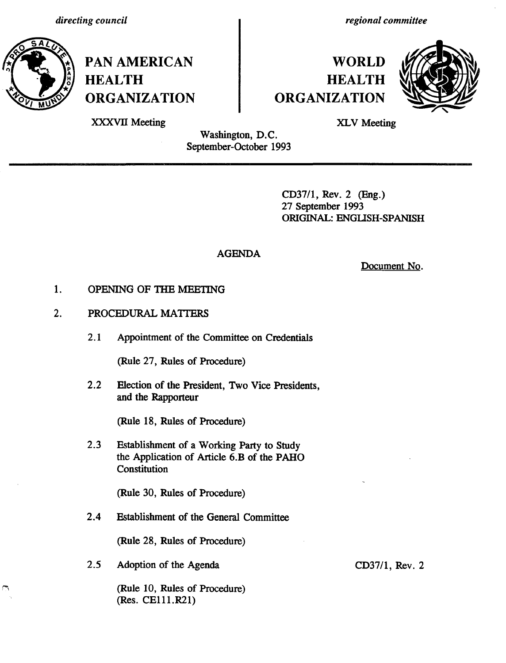

**PAN AMERICAN HEALTH ORGANIZATION** *regional committee*

## **WORLD HEALTH ORGANIZATION**



XXXVII Meeting

XLV Meeting

Washington, D.C. September-October 1993 \_ \_ \_ I \_I\_ \_ \_ \_ \_ \_\_ \_

> CD37/1, Rev. 2 (Eng.) 27 September 1993 ORIGINAL: ENGLISH-SPANISH

## AGENDA

Document No.

- OPENING OF THE MEETING 1.
- PROCEDURAL MATTERS 2.
	- 2.1 Appointment of the Committee on Credentials

(Rule 27, Rules of Procedure)

2.2 Election of the President, Two Vice Presidents, and the Rapporteur

(Rule 18, Rules of Procedure)

2.3 Establishment of a Working Party to Study the Application of Article 6.B of the PAHO Constitution

(Rule 30, Rules of Procedure)

2.4 Establishment of the General Committee

(Rule 28, Rules of Procedure)

2.5 Adoption of the Agenda

(Rule 10, Rules of Procedure) (Res. CElll.R21)

CD37/1, Rev. 2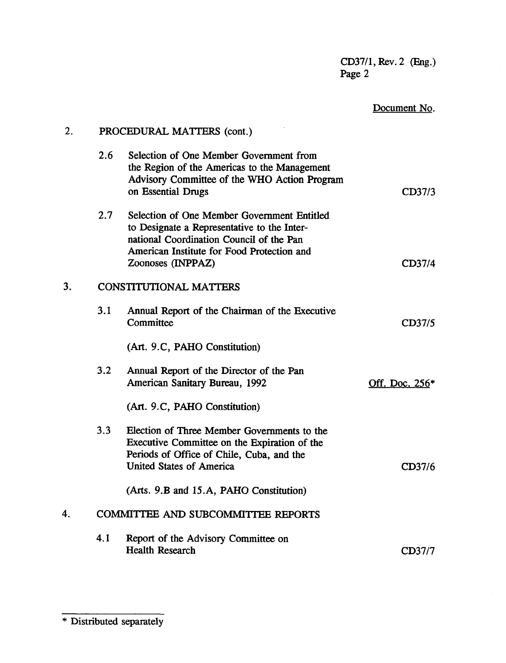CD37/1, Rev. 2 (Eng.) Page 2

|    |                            |                                                                                                                                                               | rage z       |  |
|----|----------------------------|---------------------------------------------------------------------------------------------------------------------------------------------------------------|--------------|--|
|    |                            |                                                                                                                                                               | Document No. |  |
| 2. | PROCEDURAL MATTERS (cont.) |                                                                                                                                                               |              |  |
|    | 2.6                        | Selection of One Member Government from<br>the Region of the Americas to the Management<br>Advisory Committee of the WHO Action Program<br>on Essential Drugs | CD37/3       |  |
|    | 2.7                        | Selection of One Member Government Entitled                                                                                                                   |              |  |

## 2.6 Selection of One Member the Region of the America Advisory Committee of the on Essential Drugs 2.7 Selection of One Member to Designate a Representative to the International Coordination Council of the Pan American Institute for Food Protection and Zoonoses (INPPAZ) CD37/4 3. CONSTITUTIONAL MATTERS 3.1 Annual Report of the Chairman of the Executive Committee CD37/5 (Art. 9.C, PAHO Constitution) 3.2 Annual Report of the Director of the Pan American Sanitary Bureau, 1992 Off. Doc. 256\* (Art. 9.C, PAHO Constitution) 3.3 Election of Three Member Governments to the Executive Committee on the Expiration of the Periods of Office of Chile, Cuba, and the United States of America CD37/6 (Arts. 9.B and 15.A, PAHO Constitution) 4. COMMITTEE AND SUBCOMMITTEE REPORTS

4.1 Report of the Advisory Committee on Health Research CD37/7

<sup>\*</sup> Distributed separately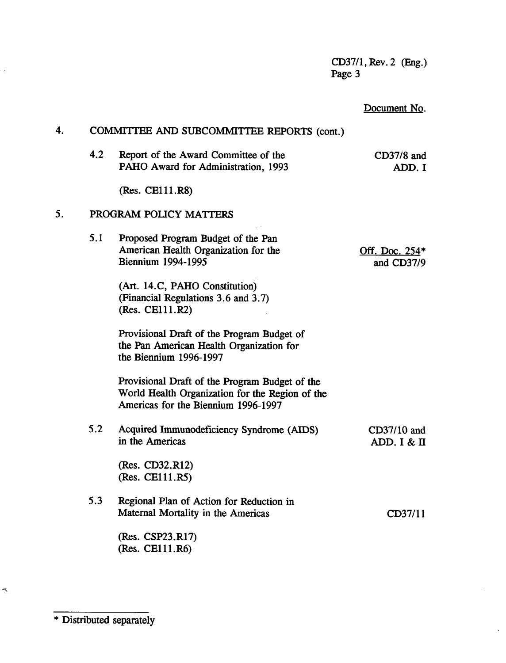CD37/1, Rev. 2 (Eng.) Page 3

 $\hat{\mathcal{A}}$ 

|    |     |                                                                                                                                           | Document No.                        |  |  |
|----|-----|-------------------------------------------------------------------------------------------------------------------------------------------|-------------------------------------|--|--|
| 4. |     | COMMITTEE AND SUBCOMMITTEE REPORTS (cont.)                                                                                                |                                     |  |  |
|    | 4.2 | Report of the Award Committee of the<br>PAHO Award for Administration, 1993                                                               | $CD37/8$ and<br>ADD. I              |  |  |
|    |     | (Res. CE111.R8)                                                                                                                           |                                     |  |  |
| 5. |     | PROGRAM POLICY MATTERS                                                                                                                    |                                     |  |  |
|    | 5.1 | Proposed Program Budget of the Pan<br>American Health Organization for the<br><b>Biennium 1994-1995</b><br>(Art. 14.C, PAHO Constitution) | <u>Off. Doc. 254*</u><br>and CD37/9 |  |  |
|    |     | (Financial Regulations 3.6 and 3.7)<br>(Res. CE111.R2)                                                                                    |                                     |  |  |
|    |     | Provisional Draft of the Program Budget of<br>the Pan American Health Organization for<br>the Biennium 1996-1997                          |                                     |  |  |
|    |     | Provisional Draft of the Program Budget of the<br>World Health Organization for the Region of the<br>Americas for the Biennium 1996-1997  |                                     |  |  |
|    | 5.2 | Acquired Immunodeficiency Syndrome (AIDS)<br>in the Americas                                                                              | CD37/10 and<br>ADD. I & II          |  |  |
|    |     | (Res. CD32.R12)<br>(Res. CE111.R5)                                                                                                        |                                     |  |  |
|    | 5.3 | Regional Plan of Action for Reduction in<br>Maternal Mortality in the Americas                                                            | CD37/11                             |  |  |
|    |     | (Res. CSP23.R17)<br>(Res. CE111.R6)                                                                                                       |                                     |  |  |

\* Distributed separately

 $\hat{\mathcal{A}}$ 

 $\tilde{\Delta}$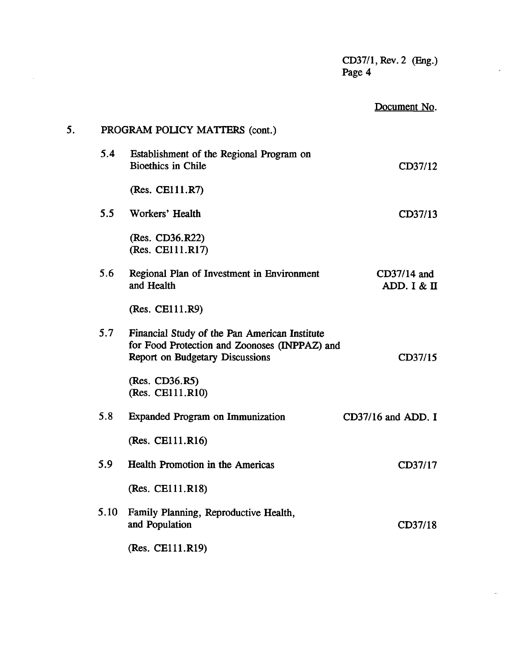|    |      |                                                                                                                                          | $CD37/1$ , Rev. 2 (Eng.)<br>Page 4 |
|----|------|------------------------------------------------------------------------------------------------------------------------------------------|------------------------------------|
|    |      |                                                                                                                                          | Document No.                       |
| 5. |      | PROGRAM POLICY MATTERS (cont.)                                                                                                           |                                    |
|    | 5.4  | Establishment of the Regional Program on<br><b>Bioethics in Chile</b>                                                                    | CD37/12                            |
|    |      | (Res. CE111.R7)                                                                                                                          |                                    |
|    | 5.5  | Workers' Health                                                                                                                          | CD37/13                            |
|    |      | (Res. CD36.R22)<br>(Res. CE111.R17)                                                                                                      |                                    |
|    | 5.6  | Regional Plan of Investment in Environment<br>and Health                                                                                 | $CD37/14$ and<br>ADD. I & II       |
|    |      | (Res. CE111.R9)                                                                                                                          |                                    |
|    | 5.7  | Financial Study of the Pan American Institute<br>for Food Protection and Zoonoses (INPPAZ) and<br><b>Report on Budgetary Discussions</b> | CD37/15                            |
|    |      | (Res. CD36.R5)<br>(Res. CE111.R10)                                                                                                       |                                    |
|    | 5.8  | <b>Expanded Program on Immunization</b>                                                                                                  | $CD37/16$ and ADD. I               |
|    |      | (Res. CE111.R16)                                                                                                                         |                                    |
|    | 5.9  | Health Promotion in the Americas                                                                                                         | CD37/17                            |
|    |      | (Res. CE111.R18)                                                                                                                         |                                    |
|    | 5.10 | Family Planning, Reproductive Health,<br>and Population                                                                                  | CD37/18                            |
|    |      | (Res. CE111.R19)                                                                                                                         |                                    |

 $\frac{1}{\sqrt{2}}$ 

 $\bar{\mathbb{Z}}$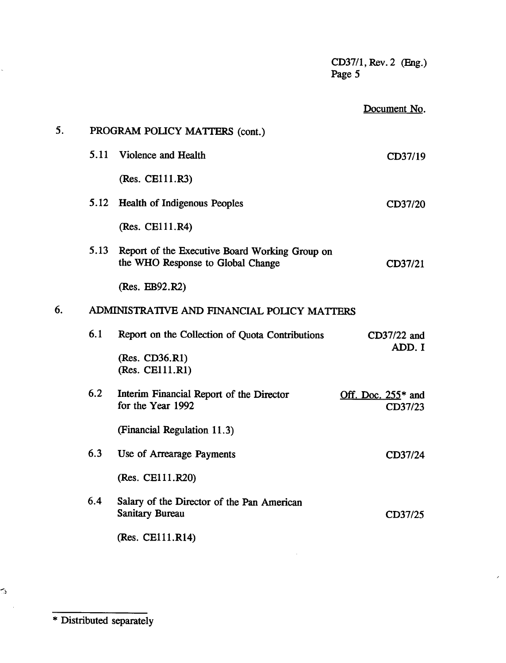CD37/1, Rev. 2 (Eng.) Page 5 Document No. 5. PROGRAM POLICY MATTERS (cont.) 5.11 Violence and Health (Res. CE11l.R3) 5.12 Health of Indigenous Peoples (Res. CE11l.R4) 5.13 Report of the Executive Board Working Group on the WHO Response to Global Change (Res. EB92.R2) 6. ADMINISTRATIVE AND FINANCIAL POLICY MATTERS 6.1 Report on the Collection of Quota Contributions (Res. CD36.R1) (Res. CE111.R1) 6.2 Interim Financial Report of the Director for the Year 1992 (Financial Regulation 11.3) 6.3 Use of Arrearage Payments (Res. CE11.R20) 6.4 Salary of the Director of the Pan American Sanitary Bureau (Res. CEl11.R14) CD37/19 CD37/20 CD37/21 CD37/22 and ADD. I Off. Doc.  $255*$  and CD37/23 CD37/24 CD37/25

\* Distributed separately

دسم